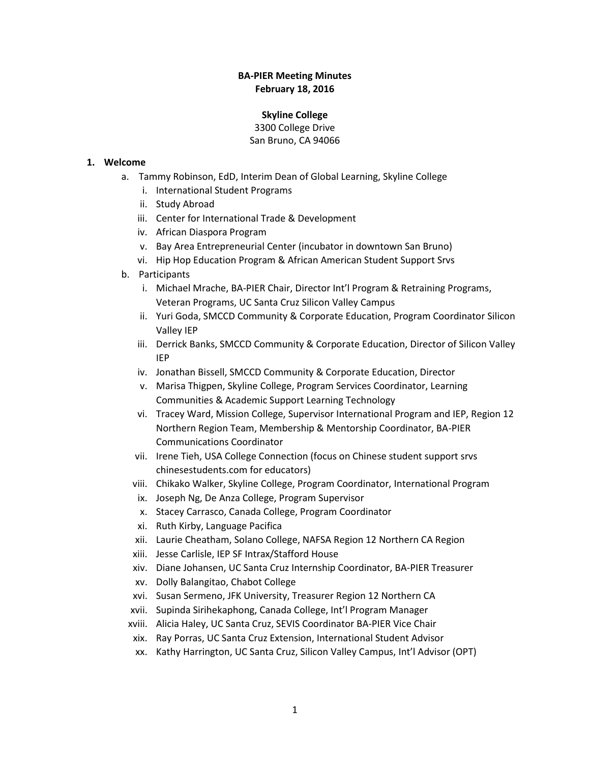### **BA-PIER Meeting Minutes February 18, 2016**

#### **Skyline College**

3300 College Drive San Bruno, CA 94066

### **1. Welcome**

- a. Tammy Robinson, EdD, Interim Dean of Global Learning, Skyline College
	- i. International Student Programs
	- ii. Study Abroad
	- iii. Center for International Trade & Development
	- iv. African Diaspora Program
	- v. Bay Area Entrepreneurial Center (incubator in downtown San Bruno)
	- vi. Hip Hop Education Program & African American Student Support Srvs
- b. Participants
	- i. Michael Mrache, BA-PIER Chair, Director Int'l Program & Retraining Programs, Veteran Programs, UC Santa Cruz Silicon Valley Campus
	- ii. Yuri Goda, SMCCD Community & Corporate Education, Program Coordinator Silicon Valley IEP
	- iii. Derrick Banks, SMCCD Community & Corporate Education, Director of Silicon Valley IEP
	- iv. Jonathan Bissell, SMCCD Community & Corporate Education, Director
	- v. Marisa Thigpen, Skyline College, Program Services Coordinator, Learning Communities & Academic Support Learning Technology
	- vi. Tracey Ward, Mission College, Supervisor International Program and IEP, Region 12 Northern Region Team, Membership & Mentorship Coordinator, BA-PIER Communications Coordinator
	- vii. Irene Tieh, USA College Connection (focus on Chinese student support srvs chinesestudents.com for educators)
	- viii. Chikako Walker, Skyline College, Program Coordinator, International Program
	- ix. Joseph Ng, De Anza College, Program Supervisor
	- x. Stacey Carrasco, Canada College, Program Coordinator
	- xi. Ruth Kirby, Language Pacifica
	- xii. Laurie Cheatham, Solano College, NAFSA Region 12 Northern CA Region
	- xiii. Jesse Carlisle, IEP SF Intrax/Stafford House
	- xiv. Diane Johansen, UC Santa Cruz Internship Coordinator, BA-PIER Treasurer
	- xv. Dolly Balangitao, Chabot College
	- xvi. Susan Sermeno, JFK University, Treasurer Region 12 Northern CA
	- xvii. Supinda Sirihekaphong, Canada College, Int'l Program Manager
	- xviii. Alicia Haley, UC Santa Cruz, SEVIS Coordinator BA-PIER Vice Chair
	- xix. Ray Porras, UC Santa Cruz Extension, International Student Advisor
	- xx. Kathy Harrington, UC Santa Cruz, Silicon Valley Campus, Int'l Advisor (OPT)